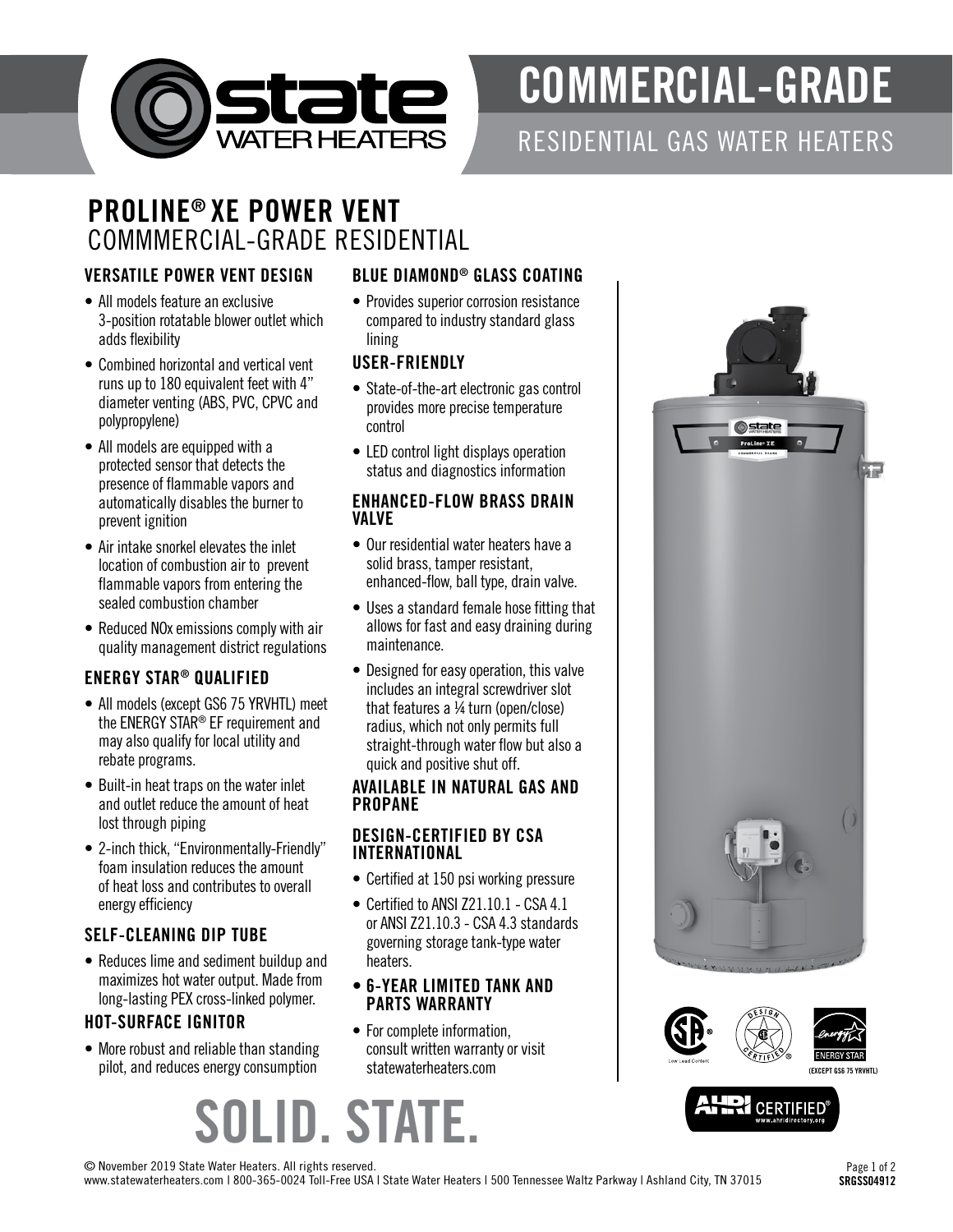

# COMMERCIAL-GRADE

# RESIDENTIAL GAS WATER HEATERS

### PROLINE® XE POWER VENT COMMMERCIAL-GRADE RESIDENTIAL

#### VERSATILE POWER VENT DESIGN

- All models feature an exclusive 3-position rotatable blower outlet which adds flexibility
- Combined horizontal and vertical vent runs up to 180 equivalent feet with 4" diameter venting (ABS, PVC, CPVC and polypropylene)
- All models are equipped with a protected sensor that detects the presence of flammable vapors and automatically disables the burner to prevent ignition
- Air intake snorkel elevates the inlet location of combustion air to prevent flammable vapors from entering the sealed combustion chamber
- Reduced NOx emissions comply with air quality management district regulations

#### ENERGY STAR® QUALIFIED

- All models (except GS6 75 YRVHTL) meet the ENERGY STAR® EF requirement and may also qualify for local utility and rebate programs.
- Built-in heat traps on the water inlet and outlet reduce the amount of heat lost through piping
- 2-inch thick, "Environmentally-Friendly" foam insulation reduces the amount of heat loss and contributes to overall energy efficiency

#### SELF-CLEANING DIP TUBE

• Reduces lime and sediment buildup and maximizes hot water output. Made from long-lasting PEX cross-linked polymer.

#### HOT-SURFACE IGNITOR

• More robust and reliable than standing pilot, and reduces energy consumption

#### BLUE DIAMOND® GLASS COATING

• Provides superior corrosion resistance compared to industry standard glass lining

#### USER-FRIENDLY

- State-of-the-art electronic gas control provides more precise temperature control
- LED control light displays operation status and diagnostics information

#### ENHANCED-FLOW BRASS DRAIN VALVE

- Our residential water heaters have a solid brass, tamper resistant, enhanced-flow, ball type, drain valve.
- Uses a standard female hose fitting that allows for fast and easy draining during maintenance.
- Designed for easy operation, this valve includes an integral screwdriver slot that features a ¼ turn (open/close) radius, which not only permits full straight-through water flow but also a quick and positive shut off.

#### AVAILABLE IN NATURAL GAS AND PROPANE

#### DESIGN-CERTIFIED BY CSA INTERNATIONAL

- Certified at 150 psi working pressure
- Certified to ANSI Z21.10.1 CSA 4.1 or ANSI Z21.10.3 - CSA 4.3 standards governing storage tank-type water heaters.

#### • 6-YEAR LIMITED TANK AND PARTS WARRANTY

• For complete information, consult written warranty or visit statewaterheaters.com









© November 2019 State Water Heaters. All rights reserved.

www.statewaterheaters.com | 800-365-0024 Toll-Free USA | State Water Heaters | 500 Tennessee Waltz Parkway | Ashland City, TN 37015